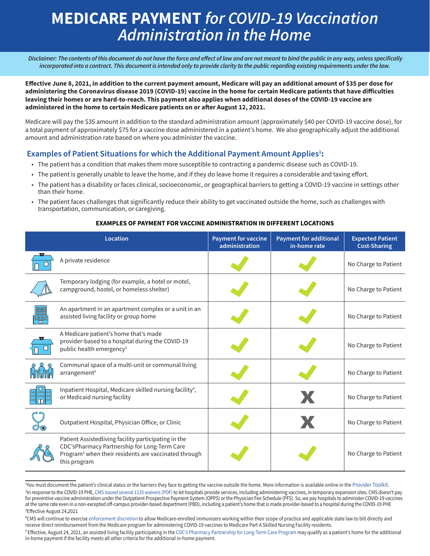# **MEDICARE PAYMENT** *for COVID-19 Vaccination Administration in the Home*

*Disclaimer: The contents of this document do not have the force and effect of law and are not meant to bind the public in any way, unless specifically incorporated into a contract. This document is intended only to provide clarity to the public regarding existing requirements under the law.* 

**Effective June 8, 2021, in addition to the current payment amount, Medicare will pay an additional amount of \$35 per dose for administering the Coronavirus disease 2019 (COVID-19) vaccine in the home for certain Medicare patients that have difficulties leaving their homes or are hard-to-reach. This payment also applies when additional doses of the COVID-19 vaccine are administered in the home to certain Medicare patients on or after August 12, 2021.**

Medicare will pay the \$35 amount in addition to the standard administration amount (approximately \$40 per COVID-19 vaccine dose), for a total payment of approximately \$75 for a vaccine dose administered in a patient's home. We also geographically adjust the additional amount and administration rate based on where you administer the vaccine.

# Examples of Patient Situations for which the Additional Payment Amount Applies<sup>1</sup>:

- The patient has a condition that makes them more susceptible to contracting a pandemic disease such as COVID-19.
- The patient is generally unable to leave the home, and if they do leave home it requires a considerable and taxing effort.
- The patient has a disability or faces clinical, socioeconomic, or geographical barriers to getting a COVID-19 vaccine in settings other than their home.
- The patient faces challenges that significantly reduce their ability to get vaccinated outside the home, such as challenges with transportation, communication, or caregiving.

|                  | <b>Location</b>                                                                                                                                                                          | <b>Payment for vaccine</b><br>administration | <b>Payment for additional</b><br>in-home rate | <b>Expected Patient</b><br><b>Cost-Sharing</b> |
|------------------|------------------------------------------------------------------------------------------------------------------------------------------------------------------------------------------|----------------------------------------------|-----------------------------------------------|------------------------------------------------|
|                  | A private residence                                                                                                                                                                      |                                              |                                               | No Charge to Patient                           |
|                  | Temporary lodging (for example, a hotel or motel,<br>campground, hostel, or homeless shelter)                                                                                            |                                              |                                               | No Charge to Patient                           |
| 000001<br>m.     | An apartment in an apartment complex or a unit in an<br>assisted living facility or group home                                                                                           |                                              |                                               | No Charge to Patient                           |
|                  | A Medicare patient's home that's made<br>provider-based to a hospital during the COVID-19<br>public health emergency <sup>2</sup>                                                        |                                              |                                               | No Charge to Patient                           |
|                  | Communal space of a multi-unit or communal living<br>arrangement <sup>3</sup>                                                                                                            |                                              |                                               | No Charge to Patient                           |
| 익ᇮ은<br>00 000 00 | Inpatient Hospital, Medicare skilled nursing facility <sup>4</sup> ,<br>or Medicaid nursing facility                                                                                     |                                              |                                               | No Charge to Patient                           |
|                  | Outpatient Hospital, Physician Office, or Clinic                                                                                                                                         |                                              |                                               | No Charge to Patient                           |
|                  | Patient Assistedliving facility participating in the<br>CDC'sPharmacy Partnership for Long-Term Care<br>Program <sup>5</sup> when their residents are vaccinated through<br>this program |                                              |                                               | No Charge to Patient                           |

### **EXAMPLES OF PAYMENT FOR VACCINE ADMINISTRATION IN DIFFERENT LOCATIONS**

Wou must document the patient's clinical status or the barriers they face to getting the vaccine outside the home. More information is available online in the [Provider Toolkit.](https://www.cms.gov/medicare/covid-19/medicare-covid-19-vaccine-shot-payment)<br><sup>2</sup>In response to the COVID-19 PHE.CMS issued <sup>2</sup>In response to the COVID-19 PHE, [CMS issued several 1135 waivers \(PDF\)](https://www.cms.gov/files/document/covid-19-emergency-declaration-waivers.pdf) to let hospitals provide services, including administering vaccines, in temporary expansion sites. CMS doesn't pay for preventive vaccine administration under the Outpatient Prospective Payment System (OPPS) or the Physician Fee Schedule (PFS). So, we pay hospitals to administer COVID-19 vaccines at the same rate even in a non-excepted off-campus provider-based department (PBD), including a patient's home that is made provider-based to a hospital during the COVID-19 PHE <sup>3</sup>Effective August 24,2021

<sup>4</sup> CMS will continue to exercise [enforcement discretion](https://www.cms.gov/medicare/covid-19/snf-enforcement-discretion-relating-certain-pharmacy-billing) to allow Medicare-enrolled immunizers working within their scope of practice and applicable state law to bill directly and receive direct reimbursement from the Medicare program for administering COVID-19 vaccines to Medicare Part A Skilled Nursing Facility residents.

<sup>&</sup>lt;sup>5</sup> Effective, August 24, 2021, an assisted living facility participating in the [CDC's Pharmacy Partnership for Long-Term Care Program](https://www.cms.gov/files/document/03092020-covid-19-faqs-508.pdf) may qualify as a patient's home for the additional in-home payment if the facility meets all other criteria for the additional in-home payment.